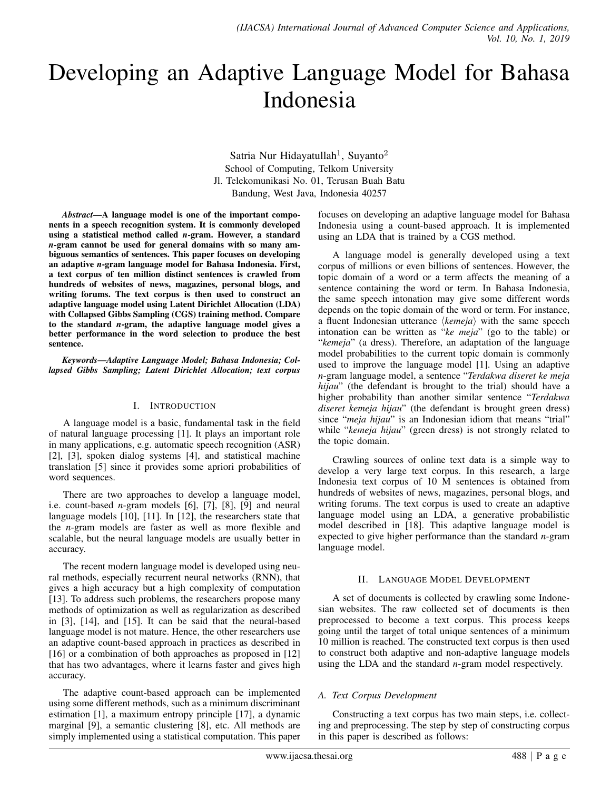# Developing an Adaptive Language Model for Bahasa Indonesia

Satria Nur Hidayatullah<sup>1</sup>, Suyanto<sup>2</sup> School of Computing, Telkom University Jl. Telekomunikasi No. 01, Terusan Buah Batu Bandung, West Java, Indonesia 40257

*Abstract*—A language model is one of the important components in a speech recognition system. It is commonly developed using a statistical method called *n*-gram. However, a standard *n*-gram cannot be used for general domains with so many ambiguous semantics of sentences. This paper focuses on developing an adaptive *n*-gram language model for Bahasa Indonesia. First, a text corpus of ten million distinct sentences is crawled from hundreds of websites of news, magazines, personal blogs, and writing forums. The text corpus is then used to construct an adaptive language model using Latent Dirichlet Allocation (LDA) with Collapsed Gibbs Sampling (CGS) training method. Compare to the standard *n*-gram, the adaptive language model gives a better performance in the word selection to produce the best sentence.

*Keywords*—*Adaptive Language Model; Bahasa Indonesia; Collapsed Gibbs Sampling; Latent Dirichlet Allocation; text corpus*

#### I. INTRODUCTION

A language model is a basic, fundamental task in the field of natural language processing [1]. It plays an important role in many applications, e.g. automatic speech recognition (ASR) [2], [3], spoken dialog systems [4], and statistical machine translation [5] since it provides some apriori probabilities of word sequences.

There are two approaches to develop a language model, i.e. count-based *n*-gram models [6], [7], [8], [9] and neural language models [10], [11]. In [12], the researchers state that the *n*-gram models are faster as well as more flexible and scalable, but the neural language models are usually better in accuracy.

The recent modern language model is developed using neural methods, especially recurrent neural networks (RNN), that gives a high accuracy but a high complexity of computation [13]. To address such problems, the researchers propose many methods of optimization as well as regularization as described in [3], [14], and [15]. It can be said that the neural-based language model is not mature. Hence, the other researchers use an adaptive count-based approach in practices as described in [16] or a combination of both approaches as proposed in [12] that has two advantages, where it learns faster and gives high accuracy.

The adaptive count-based approach can be implemented using some different methods, such as a minimum discriminant estimation [1], a maximum entropy principle [17], a dynamic marginal [9], a semantic clustering [8], etc. All methods are simply implemented using a statistical computation. This paper

focuses on developing an adaptive language model for Bahasa Indonesia using a count-based approach. It is implemented using an LDA that is trained by a CGS method.

A language model is generally developed using a text corpus of millions or even billions of sentences. However, the topic domain of a word or a term affects the meaning of a sentence containing the word or term. In Bahasa Indonesia, the same speech intonation may give some different words depends on the topic domain of the word or term. For instance, a fluent Indonesian utterance  $\langle \textit{kemeja} \rangle$  with the same speech intonation can be written as "*ke meja*" (go to the table) or "*kemeja*" (a dress). Therefore, an adaptation of the language model probabilities to the current topic domain is commonly used to improve the language model [1]. Using an adaptive *n*-gram language model, a sentence "*Terdakwa diseret ke meja hijau*" (the defendant is brought to the trial) should have a higher probability than another similar sentence "*Terdakwa diseret kemeja hijau*" (the defendant is brought green dress) since "*meja hijau*" is an Indonesian idiom that means "trial" while "*kemeja hijau*" (green dress) is not strongly related to the topic domain.

Crawling sources of online text data is a simple way to develop a very large text corpus. In this research, a large Indonesia text corpus of 10 M sentences is obtained from hundreds of websites of news, magazines, personal blogs, and writing forums. The text corpus is used to create an adaptive language model using an LDA, a generative probabilistic model described in [18]. This adaptive language model is expected to give higher performance than the standard *n*-gram language model.

# II. LANGUAGE MODEL DEVELOPMENT

A set of documents is collected by crawling some Indonesian websites. The raw collected set of documents is then preprocessed to become a text corpus. This process keeps going until the target of total unique sentences of a minimum 10 million is reached. The constructed text corpus is then used to construct both adaptive and non-adaptive language models using the LDA and the standard *n*-gram model respectively.

# *A. Text Corpus Development*

Constructing a text corpus has two main steps, i.e. collecting and preprocessing. The step by step of constructing corpus in this paper is described as follows: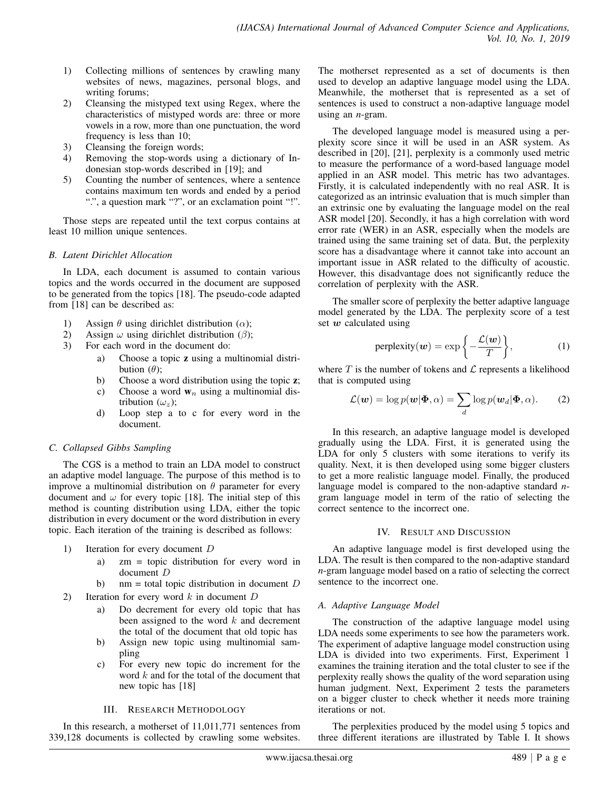- 1) Collecting millions of sentences by crawling many websites of news, magazines, personal blogs, and writing forums;
- 2) Cleansing the mistyped text using Regex, where the characteristics of mistyped words are: three or more vowels in a row, more than one punctuation, the word frequency is less than 10;
- 3) Cleansing the foreign words;
- 4) Removing the stop-words using a dictionary of Indonesian stop-words described in [19]; and
- 5) Counting the number of sentences, where a sentence contains maximum ten words and ended by a period ".", a question mark "?", or an exclamation point "!".

Those steps are repeated until the text corpus contains at least 10 million unique sentences.

# *B. Latent Dirichlet Allocation*

In LDA, each document is assumed to contain various topics and the words occurred in the document are supposed to be generated from the topics [18]. The pseudo-code adapted from [18] can be described as:

- 1) Assign  $\theta$  using dirichlet distribution ( $\alpha$ );
- 2) Assign  $\omega$  using dirichlet distribution ( $\beta$ );<br>3) For each word in the document do:
- For each word in the document do:
	- a) Choose a topic z using a multinomial distribution  $(\theta)$ ;
	- b) Choose a word distribution using the topic z;
	- c) Choose a word  $w_n$  using a multinomial distribution  $(\omega_z)$ ;
	- d) Loop step a to c for every word in the document.

# *C. Collapsed Gibbs Sampling*

The CGS is a method to train an LDA model to construct an adaptive model language. The purpose of this method is to improve a multinomial distribution on  $\theta$  parameter for every document and  $\omega$  for every topic [18]. The initial step of this method is counting distribution using LDA, either the topic distribution in every document or the word distribution in every topic. Each iteration of the training is described as follows:

- 1) Iteration for every document D
	- a) zm = topic distribution for every word in document D
	- b) nm = total topic distribution in document  $D$
- 2) Iteration for every word  $k$  in document  $D$ 
	- a) Do decrement for every old topic that has been assigned to the word  $k$  and decrement the total of the document that old topic has
	- b) Assign new topic using multinomial sampling
	- c) For every new topic do increment for the word  $k$  and for the total of the document that new topic has [18]

# III. RESEARCH METHODOLOGY

In this research, a motherset of 11,011,771 sentences from 339,128 documents is collected by crawling some websites.

The motherset represented as a set of documents is then used to develop an adaptive language model using the LDA. Meanwhile, the motherset that is represented as a set of sentences is used to construct a non-adaptive language model using an *n*-gram.

The developed language model is measured using a perplexity score since it will be used in an ASR system. As described in [20], [21], perplexity is a commonly used metric to measure the performance of a word-based language model applied in an ASR model. This metric has two advantages. Firstly, it is calculated independently with no real ASR. It is categorized as an intrinsic evaluation that is much simpler than an extrinsic one by evaluating the language model on the real ASR model [20]. Secondly, it has a high correlation with word error rate (WER) in an ASR, especially when the models are trained using the same training set of data. But, the perplexity score has a disadvantage where it cannot take into account an important issue in ASR related to the difficulty of acoustic. However, this disadvantage does not significantly reduce the correlation of perplexity with the ASR.

The smaller score of perplexity the better adaptive language model generated by the LDA. The perplexity score of a test set  $w$  calculated using

perplexity(
$$
\boldsymbol{w}
$$
) = exp $\left\{-\frac{\mathcal{L}(\boldsymbol{w})}{T}\right\}$ , (1)

where  $T$  is the number of tokens and  $\mathcal L$  represents a likelihood that is computed using

$$
\mathcal{L}(\boldsymbol{w}) = \log p(\boldsymbol{w}|\boldsymbol{\Phi}, \alpha) = \sum_{d} \log p(\boldsymbol{w}_d|\boldsymbol{\Phi}, \alpha). \qquad (2)
$$

In this research, an adaptive language model is developed gradually using the LDA. First, it is generated using the LDA for only 5 clusters with some iterations to verify its quality. Next, it is then developed using some bigger clusters to get a more realistic language model. Finally, the produced language model is compared to the non-adaptive standard *n*gram language model in term of the ratio of selecting the correct sentence to the incorrect one.

# IV. RESULT AND DISCUSSION

An adaptive language model is first developed using the LDA. The result is then compared to the non-adaptive standard *n*-gram language model based on a ratio of selecting the correct sentence to the incorrect one.

# *A. Adaptive Language Model*

The construction of the adaptive language model using LDA needs some experiments to see how the parameters work. The experiment of adaptive language model construction using LDA is divided into two experiments. First, Experiment 1 examines the training iteration and the total cluster to see if the perplexity really shows the quality of the word separation using human judgment. Next, Experiment 2 tests the parameters on a bigger cluster to check whether it needs more training iterations or not.

The perplexities produced by the model using 5 topics and three different iterations are illustrated by Table I. It shows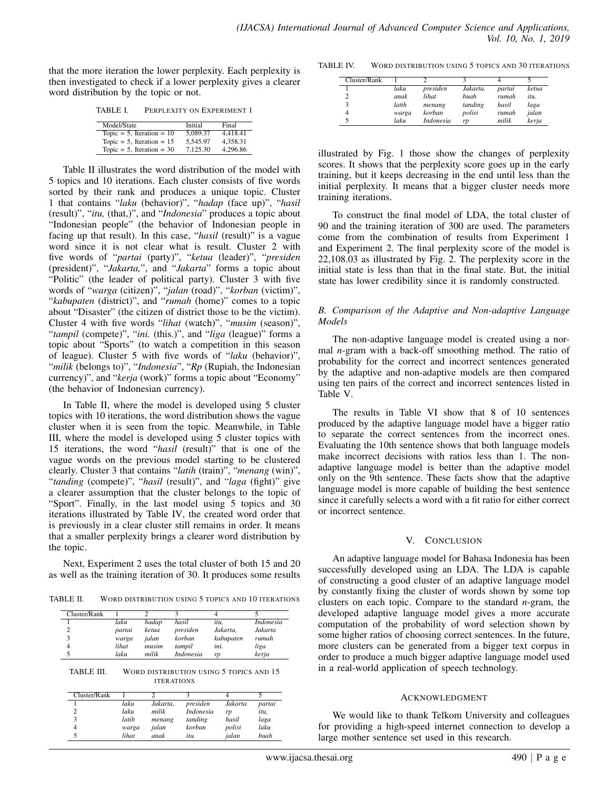that the more iteration the lower perplexity. Each perplexity is then investigated to check if a lower perplexity gives a clearer word distribution by the topic or not.

TABLE I. PERPLEXITY ON EXPERIMENT 1

| Model/State                  | Initial  | Final    |
|------------------------------|----------|----------|
| Topic = $5$ , Iteration = 10 | 5.089.37 | 4.418.41 |
| Topic = 5, Iteration = $15$  | 5.545.97 | 4.358.31 |
| Topic = 5, Iteration = $30$  | 7.125.30 | 4,296.86 |

Table II illustrates the word distribution of the model with 5 topics and 10 iterations. Each cluster consists of five words sorted by their rank and produces a unique topic. Cluster 1 that contains "*laku* (behavior)", "*hadap* (face up)", "*hasil* (result)", "*itu,* (that,)", and "*Indonesia*" produces a topic about "Indonesian people" (the behavior of Indonesian people in facing up that result). In this case, "*hasil* (result)" is a vague word since it is not clear what is result. Cluster 2 with five words of "*partai* (party)", "*ketua* (leader)", "*presiden* (president)", "*Jakarta,*", and "*Jakarta*" forms a topic about "Politic" (the leader of political party). Cluster 3 with five words of "*warga* (citizen)", "*jalan* (road)", "*korban* (victim)", "*kabupaten* (district)", and "*rumah* (home)" comes to a topic about "Disaster" (the citizen of district those to be the victim). Cluster 4 with five words "*lihat* (watch)", "*musim* (season)", "*tampil* (compete)", "*ini.* (this.)", and "*liga* (league)" forms a topic about "Sports" (to watch a competition in this season of league). Cluster 5 with five words of "*laku* (behavior)", "*milik* (belongs to)", "*Indonesia*", "*Rp* (Rupiah, the Indonesian currency)", and "*kerja* (work)" forms a topic about "Economy" (the behavior of Indonesian currency).

In Table II, where the model is developed using 5 cluster topics with 10 iterations, the word distribution shows the vague cluster when it is seen from the topic. Meanwhile, in Table III, where the model is developed using 5 cluster topics with 15 iterations, the word "*hasil* (result)" that is one of the vague words on the previous model starting to be clustered clearly. Cluster 3 that contains "*latih* (train)", "*menang* (win)", "*tanding* (compete)", "*hasil* (result)", and "*laga* (fight)" give a clearer assumption that the cluster belongs to the topic of "Sport". Finally, in the last model using 5 topics and 30 iterations illustrated by Table IV, the created word order that is previously in a clear cluster still remains in order. It means that a smaller perplexity brings a clearer word distribution by the topic.

Next, Experiment 2 uses the total cluster of both 15 and 20 as well as the training iteration of 30. It produces some results

TABLE II. WORD DISTRIBUTION USING 5 TOPICS AND 10 ITERATIONS

| laku   | hadap | hasil            | itи.      | Indonesia |
|--------|-------|------------------|-----------|-----------|
| partai | ketua | presiden         | Jakarta.  | Jakarta   |
| warga  | ialan | korban           | kabupaten | rumah     |
| lihat  | musim | tampil           | ini.      | liga      |
| laku   | milik | <i>Indonesia</i> | rp        | kerja     |
|        |       |                  |           |           |

| TABLE III. | WORD DISTRIBUTION USING 5 TOPICS AND 15 |
|------------|-----------------------------------------|
|            | <b>ITERATIONS</b>                       |

| Cluster/Rank |       |          |           |         |             |
|--------------|-------|----------|-----------|---------|-------------|
|              | laku  | Jakarta. | presiden  | Jakarta | partai      |
|              | laku  | milik    | Indonesia | rp      | itu,        |
|              | latih | menang   | tanding   | hasil   | laga        |
|              | warga | ialan    | korban    | polisi  | laku        |
|              | lihat | anak     | itи.      | ialan   | <b>buah</b> |

TABLE IV. WORD DISTRIBUTION USING 5 TOPICS AND 30 ITERATIONS

| Cluster/Rank |       |           |             |        |       |
|--------------|-------|-----------|-------------|--------|-------|
|              | laku  | presiden  | Jakarta,    | partai | ketua |
|              | anak  | lihat     | <i>buah</i> | rumah  | itu.  |
| 3            | latih | menang    | tanding     | hasil  | laga  |
| 4            | warga | korban    | polisi      | rumah  | jalan |
| 5            | laku  | Indonesia | rp          | milik  | kerja |

illustrated by Fig. 1 those show the changes of perplexity scores. It shows that the perplexity score goes up in the early training, but it keeps decreasing in the end until less than the initial perplexity. It means that a bigger cluster needs more training iterations.

To construct the final model of LDA, the total cluster of 90 and the training iteration of 300 are used. The parameters come from the combination of results from Experiment 1 and Experiment 2. The final perplexity score of the model is 22,108.03 as illustrated by Fig. 2. The perplexity score in the initial state is less than that in the final state. But, the initial state has lower credibility since it is randomly constructed.

#### *B. Comparison of the Adaptive and Non-adaptive Language Models*

The non-adaptive language model is created using a normal *n*-gram with a back-off smoothing method. The ratio of probability for the correct and incorrect sentences generated by the adaptive and non-adaptive models are then compared using ten pairs of the correct and incorrect sentences listed in Table V.

The results in Table VI show that 8 of 10 sentences produced by the adaptive language model have a bigger ratio to separate the correct sentences from the incorrect ones. Evaluating the 10th sentence shows that both language models make incorrect decisions with ratios less than 1. The nonadaptive language model is better than the adaptive model only on the 9th sentence. These facts show that the adaptive language model is more capable of building the best sentence since it carefully selects a word with a fit ratio for either correct or incorrect sentence.

#### V. CONCLUSION

An adaptive language model for Bahasa Indonesia has been successfully developed using an LDA. The LDA is capable of constructing a good cluster of an adaptive language model by constantly fixing the cluster of words shown by some top clusters on each topic. Compare to the standard *n*-gram, the developed adaptive language model gives a more accurate computation of the probability of word selection shown by some higher ratios of choosing correct sentences. In the future, more clusters can be generated from a bigger text corpus in order to produce a much bigger adaptive language model used in a real-world application of speech technology.

#### ACKNOWLEDGMENT

We would like to thank Telkom University and colleagues for providing a high-speed internet connection to develop a large mother sentence set used in this research.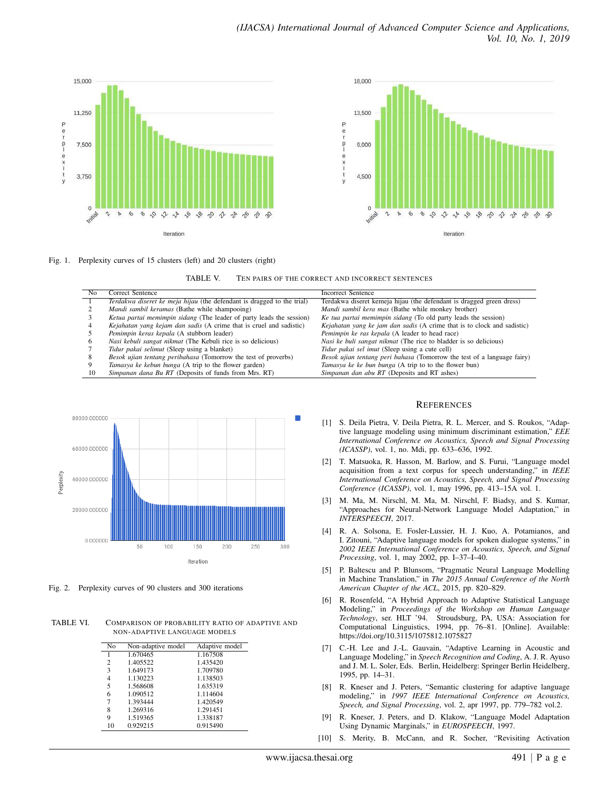



Fig. 1. Perplexity curves of 15 clusters (left) and 20 clusters (right)

TABLE V. TEN PAIRS OF THE CORRECT AND INCORRECT SENTENCES

| No | Correct Sentence                                                       | <b>Incorrect Sentence</b>                                               |
|----|------------------------------------------------------------------------|-------------------------------------------------------------------------|
|    | Terdakwa diseret ke meja hijau (the defendant is dragged to the trial) | Terdakwa diseret kemeja hijau (the defendant is dragged green dress)    |
|    | Mandi sambil keramas (Bathe while shampooing)                          | Mandi sambil kera mas (Bathe while monkey brother)                      |
|    | Ketua partai memimpin sidang (The leader of party leads the session)   | Ke tua partai memimpin sidang (To old party leads the session)          |
|    | Kejahatan yang kejam dan sadis (A crime that is cruel and sadistic)    | Kejahatan yang ke jam dan sadis (A crime that is to clock and sadistic) |
|    | Pemimpin keras kepala (A stubborn leader)                              | Pemimpin ke ras kepala (A leader to head race)                          |
|    | Nasi kebuli sangat nikmat (The Kebuli rice is so delicious)            | Nasi ke buli sangat nikmat (The rice to bladder is so delicious)        |
|    | Tidur pakai selimut (Sleep using a blanket)                            | Tidur pakai sel imut (Sleep using a cute cell)                          |
|    | Besok ujian tentang peribahasa (Tomorrow the test of proverbs)         | Besok ujian tentang peri bahasa (Tomorrow the test of a language fairy) |
|    | Tamasya ke kebun bunga (A trip to the flower garden)                   | Tamasya ke ke bun bunga (A trip to to the flower bun)                   |
| 10 | Simpanan dana Bu RT (Deposits of funds from Mrs. RT)                   | Simpanan dan abu RT (Deposits and RT ashes)                             |
|    |                                                                        |                                                                         |



Fig. 2. Perplexity curves of 90 clusters and 300 iterations

TABLE VI. COMPARISON OF PROBABILITY RATIO OF ADAPTIVE AND NON-ADAPTIVE LANGUAGE MODELS

| N <sub>0</sub> | Non-adaptive model | Adaptive model |
|----------------|--------------------|----------------|
| 1              | 1.670465           | 1.167508       |
| $\overline{c}$ | 1.405522           | 1.435420       |
| 3              | 1.649173           | 1.709780       |
| 4              | 1.130223           | 1.138503       |
| 5              | 1.568608           | 1.635319       |
| 6              | 1.090512           | 1.114604       |
| $\overline{7}$ | 1.393444           | 1.420549       |
| 8              | 1.269316           | 1.291451       |
| 9              | 1.519365           | 1.338187       |
| 10             | 0.929215           | 0.915490       |
|                |                    |                |

#### **REFERENCES**

- [1] S. Deila Pietra, V. Deila Pietra, R. L. Mercer, and S. Roukos, "Adaptive language modeling using minimum discriminant estimation," *EEE International Conference on Acoustics, Speech and Signal Processing (ICASSP)*, vol. 1, no. Mdi, pp. 633–636, 1992.
- [2] T. Matsuoka, R. Hasson, M. Barlow, and S. Furui, "Language model acquisition from a text corpus for speech understanding," in *IEEE International Conference on Acoustics, Speech, and Signal Processing Conference (ICASSP)*, vol. 1, may 1996, pp. 413–15A vol. 1.
- [3] M. Ma, M. Nirschl, M. Ma, M. Nirschl, F. Biadsy, and S. Kumar, "Approaches for Neural-Network Language Model Adaptation," in *INTERSPEECH*, 2017.
- [4] R. A. Solsona, E. Fosler-Lussier, H. J. Kuo, A. Potamianos, and I. Zitouni, "Adaptive language models for spoken dialogue systems," in *2002 IEEE International Conference on Acoustics, Speech, and Signal Processing*, vol. 1, may 2002, pp. I–37–I–40.
- [5] P. Baltescu and P. Blunsom, "Pragmatic Neural Language Modelling in Machine Translation," in *The 2015 Annual Conference of the North American Chapter of the ACL*, 2015, pp. 820–829.
- [6] R. Rosenfeld, "A Hybrid Approach to Adaptive Statistical Language Modeling," in *Proceedings of the Workshop on Human Language Technology*, ser. HLT '94. Stroudsburg, PA, USA: Association for Computational Linguistics, 1994, pp. 76–81. [Online]. Available: https://doi.org/10.3115/1075812.1075827
- [7] C.-H. Lee and J.-L. Gauvain, "Adaptive Learning in Acoustic and Language Modeling," in *Speech Recognition and Coding*, A. J. R. Ayuso and J. M. L. Soler, Eds. Berlin, Heidelberg: Springer Berlin Heidelberg, 1995, pp. 14–31.
- [8] R. Kneser and J. Peters, "Semantic clustering for adaptive language modeling," in *1997 IEEE International Conference on Acoustics, Speech, and Signal Processing*, vol. 2, apr 1997, pp. 779–782 vol.2.
- [9] R. Kneser, J. Peters, and D. Klakow, "Language Model Adaptation Using Dynamic Marginals," in *EUROSPEECH*, 1997.
- [10] S. Merity, B. McCann, and R. Socher, "Revisiting Activation